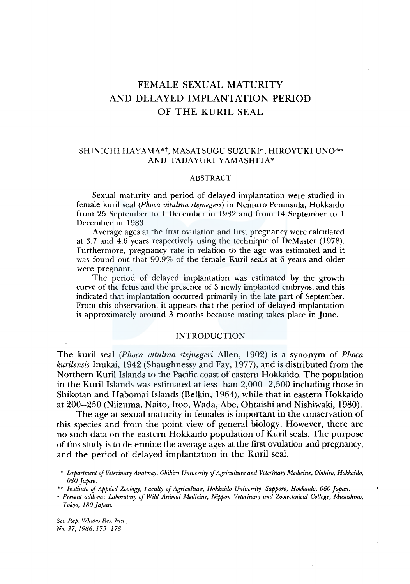# FEMALE SEXUAL MATURITY AND DELAYED IMPLANTATION PERIOD OF THE KURIL SEAL

# SHINICHI HAYAMA\*t, MASATSUGU SUZUKI\*, HIROYUKI UNO\*\* AND TADAYUKI YAMASHITA\*

#### ABSTRACT

Sexual maturity and period of delayed implantation were studied in female kuril seal *(Phoca vitulina stejnegeri)* in Nemuro Peninsula, Hokkaido from 25 September to 1 December in 1982 and from 14 September to 1 December in 1983.

Average ages at the first ovulation and first pregnancy were calculated at 3.7 and 4.6 years respectively using the technique of DeMaster (1978). Furthermore, pregnancy rate in relation to the age was estimated and it was found out that 90.9% of the female Kuril seals at 6 years and older were pregnant.

The period of delayed implantation was estimated by the growth curve of the fetus and the presence of 3 newly implanted embryos, and this indicated that implantation occurred primarily in the late part of September. From this observation, it appears that the period of delayed implantation is approximately around 3 months because mating takes place in June.

#### INTRODUCTION

The kuril seal *(Phoca vitulina stejnegeri* Allen, 1902) is a synonym of *Phoca kurilensis* Inukai, 1942 (Shaughnessy and Fay, 1977), and is distributed from the Northern Kuril Islands to the Pacific coast of eastern Hokkaido. The population in the Kuril Islands was estimated at less than 2,000-2,500 including those in Shikotan and Habomai Islands (Belkin, 1964), while that in eastern Hokkaido at 200-250 (Niizuma, Naito, Itoo, Wada, Abe, Ohtaishi and Nishiwaki, 1980).

The age at sexual maturity in females is important in the conservation of this species and from the point view of general biology. However, there are no such data on the eastern Hokkaido population of Kuril seals. The purpose of this study is to determine the average ages at the first ovulation and pregnancy, and the period of delayed implantation in the Kuril seal.

\* *Department of Veterinary Anatomy, Obihiro University of Agriculture and Veterinary Medicine, Obihiro, Hokkaido, 080 Japan.* 

\*\* *Institute of Applied Zoology, Faculty of Agriculture, Hokkaido University, Sapporo, Hokkaido, 060 Japan.* 

*t Present address: Laboratory of Wild Animal Medicine, Nippon Veterinary and Zootechnical College, Musashino, Tokyo, 180 Japan.* 

*Sci. Rep. Whales Res. Inst., No. 37, 1986, 173-178*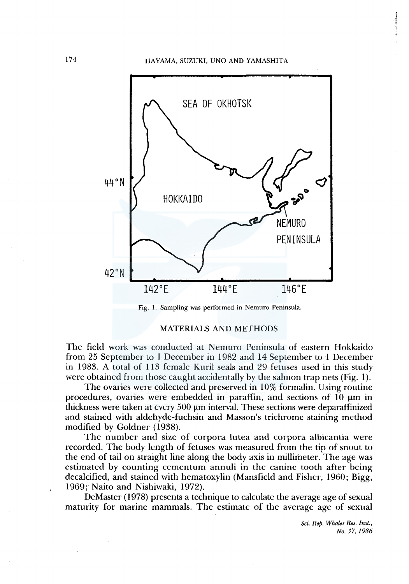

Fig. 1. Sampling was performed in Nemuro Peninsula.

#### MATERIALS AND METHODS

The field work was conducted at Nemuro Peninsula of eastern Hokkaido from 25 September to 1 December in 1982 and 14 September to 1 December in 1983. A total of 113 female Kuril seals and 29 fetuses used in this study were obtained from those caught accidentally by the salmon trap nets (Fig. 1).

The ovaries were collected and preserved in 10% formalin. Using routine procedures, ovaries were embedded in paraffin, and sections of 10 µm in thickness were taken at every 500 µm interval. These sections were deparaffinized and stained with aldehyde-fuchsin and Masson's trichrome staining method modified by Goldner (1938).

The number and size of corpora lutea and corpora albicantia were recorded. The body length of fetuses was measured from the tip of snout to the end of tail on straight line along the body axis in millimeter. The age was estimated by counting cementum annuli in the canine tooth after being decalcified, and stained with hematoxylin (Mansfield and Fisher, 1960; Bigg, 1969; Naito and Nishiwaki, 1972).

De Master ( 1978) presents a technique to calculate the average age of sexual maturity for marine mammals. The estimate of the average age of sexual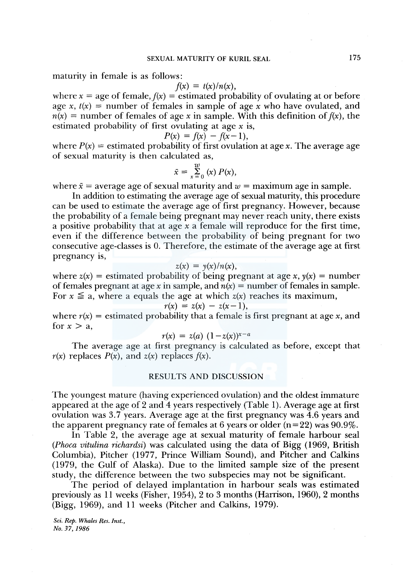maturity in female is as follows:

$$
f(x) = t(x)/n(x),
$$

where  $x = age$  of female,  $f(x) = estimated$  probability of ovulating at or before age x,  $t(x)$  = number of females in sample of age x who have ovulated, and  $n(x)$  = number of females of age x in sample. With this definition of  $f(x)$ , the estimated probability of first ovulating at age *x* is,

$$
P(x) = f(x) - f(x-1),
$$

where  $P(x)$  = estimated probability of first ovulation at age x. The average age of sexual maturity is then calculated as,

$$
\bar{x} = \sum_{x=0}^{w} (x) P(x),
$$

where  $\bar{x}$  = average age of sexual maturity and  $w$  = maximum age in sample.

In addition to estimating the average age of sexual maturity, this procedure can be used to estimate the average age of first pregnancy. However, because the probability of a female being pregnant may never reach unity, there exists a positive probability that at age *x* a female will reproduce for the first time, even if the difference between the probability of being pregnant for two consecutive age-classes is 0. Therefore, the estimate of the average age at first pregnancy is,

$$
z(x) = y(x)/n(x),
$$

where  $z(x)$  = estimated probability of being pregnant at age x,  $y(x)$  = number of females pregnant at age x in sample, and  $n(x) =$  number of females in sample. For  $x \le a$ , where a equals the age at which  $z(x)$  reaches its maximum,

$$
r(x) = z(x) - z(x-1),
$$

where  $r(x)$  = estimated probability that a female is first pregnant at age x, and for  $x > a$ ,

$$
r(x) = z(a) (1 - z(x))^{x - a}
$$

The average age at first pregnancy is calculated as before, except that  $r(x)$  replaces  $P(x)$ , and  $z(x)$  replaces  $f(x)$ .

## RESULTS AND DISCUSSION

The youngest mature (having experienced ovulation) and the oldest immature appeared at the age of 2 and 4 years respectively (Table 1). Average age at first ovulation was 3.7 years. Average age at the first pregnancy was 4.6 years and the apparent pregnancy rate of females at 6 years or older  $(n=22)$  was 90.9%.

In Table 2, the average age at sexual maturity of female harbour seal *(Phoca vitulina richardsi)* was calculated using the data of Bigg (1969, British Columbia), Pitcher (1977, Prince William Sound), and Pitcher and Calkins (1979, the Gulf of Alaska). Due to the limited sample size of the present study, the difference between the two subspecies may not be significant.

The period of delayed implantation in harbour seals was estimated previously as 11 weeks (Fisher, 1954), 2 to 3 months (Harrison, 1960), 2 months (Bigg, 1969), and 11 weeks (Pitcher and Calkins, 1979).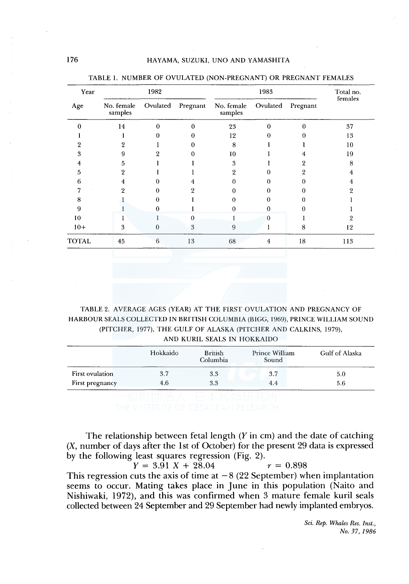| Year         | 1982                                          |          |          | 1983                  |          |          | Total no.<br>females |
|--------------|-----------------------------------------------|----------|----------|-----------------------|----------|----------|----------------------|
| Age          | No. female<br>$\ensuremath{\textit{samples}}$ | Ovulated | Pregnant | No. female<br>samples | Ovulated | Pregnant |                      |
|              | 14                                            | 0        | 0        | 23                    | 0        | 0        | 37                   |
|              |                                               |          |          | 12                    |          |          | 13                   |
|              | 9                                             |          | 0        | 8                     |          |          | 10                   |
| 3            | 9                                             |          |          | 10                    |          |          | 19                   |
|              | 5                                             |          |          | 3                     |          |          | 8                    |
| 5            | 9                                             |          |          | 9                     |          |          | 4                    |
| h            |                                               |          |          |                       |          |          |                      |
|              | ິ                                             | 0        |          |                       |          |          |                      |
| 8            |                                               | 0        |          |                       |          |          |                      |
| 9            |                                               | 0        |          | 0                     | 0        |          |                      |
| 10           |                                               |          | 0        |                       |          |          |                      |
| $10+$        | 3                                             | $\theta$ | 3        | 9                     |          | 8        | 12                   |
| <b>TOTAL</b> | 45                                            | 6        | 13       | 68                    | 4        | 18       | 113                  |

TABLE 1. NUMBER OF OVULATED (NON-PREGNANT) OR PREGNANT FEMALES

TABLE 2. AVERAGE AGES (YEAR) AT THE FIRST OVULATION AND PREGNANCY OF HARBOUR SEALS COLLECTED IN BRITISH COLUMBIA (BIGG, 1969), PRINCE WILLIAM SOUND (PITCHER, 1977), THE GULF OF ALASKA (PITCHER AND CALKINS, 1979), AND KURIL SEALS IN HOKKAIDO

|                 | Hokkaido | <b>British</b><br>Columbia | Prince William<br>Sound | Gulf of Alaska |
|-----------------|----------|----------------------------|-------------------------|----------------|
| First ovulation | 3.7      | 3.3                        | 3.7                     | 5.0            |
| First pregnancy | 4.6      | 3.3                        | 4.4                     | 5.6            |
|                 |          |                            |                         |                |

The relationship between fetal length  $(Y \text{ in cm})$  and the date of catching (X, number of days after the lst of October) for the present 29 data is expressed by the following least squares regression (Fig. 2).

 $Y = 3.91 X + 28.04$   $r = 0.898$ This regression cuts the axis of time at  $-8$  (22 September) when implantation seems to occur. Mating takes place in June in this population (Naito and Nishiwaki, 1972), and this was confirmed when 3 mature female kuril seals collected between 24 September and 29 September had newly implanted embryos.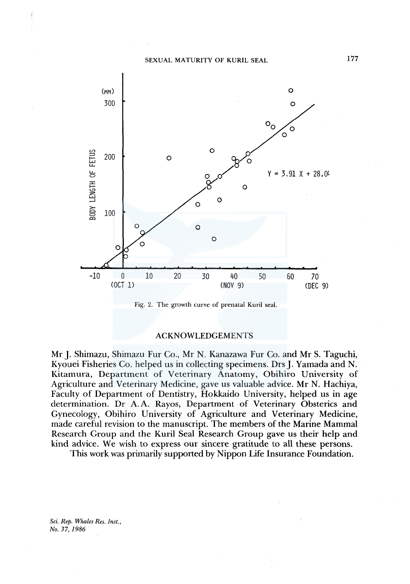

Fig. 2. The growth curve of prenatal Kuril seal.

### ACKNOWLEDGEMENTS

Mr J. Shimazu, Shimazu Fur Co., Mr N. Kanazawa Fur Co. and Mr S. Taguchi, Kyouei Fisheries Co. helped us in collecting specimens. Drs J. Yamada and N. Kitamura, Department of Veterinary Anatomy, Obihiro University of Agriculture and Veterinary Medicine, gave us valuable advice. Mr N. Hachiya, Faculty of Department of Dentistry, Hokkaido University, helped us in age determination. Dr A.A. Rayos, Department of Veterinary Obsterics and Gynecology, Obihiro University of Agriculture and Veterinary Medicine, made careful revision to the manuscript. The members of the Marine Mammal Research Group and the Kuril Seal Research Group gave us their help and kind advice. We wish to express our sincere gratitude to all these persons.

This work was primarily supported by Nippon Life Insurance Foundation.